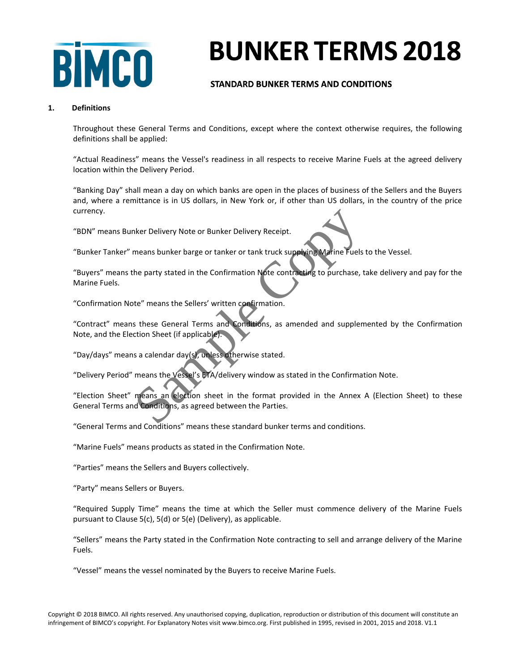

# **BUNKER TERMS 2018**

# **STANDARD BUNKER TERMS AND CONDITIONS**

#### **1. Definitions**

Throughout these General Terms and Conditions, except where the context otherwise requires, the following definitions shall be applied:

"Actual Readiness" means the Vessel's readiness in all respects to receive Marine Fuels at the agreed delivery location within the Delivery Period.

"Banking Day" shall mean a day on which banks are open in the places of business of the Sellers and the Buyers and, where a remittance is in US dollars, in New York or, if other than US dollars, in the country of the price currency.

"BDN" means Bunker Delivery Note or Bunker Delivery Receipt.

"Bunker Tanker" means bunker barge or tanker or tank truck supplying Marine Fuels to the Vessel.

"Buyers" means the party stated in the Confirmation Note contracting to purchase, take delivery and pay for the Marine Fuels.

"Confirmation Note" means the Sellers' written confirmation.

Bunker Delivery Note or Bunker Delivery Receipt.<br>
There is means bunker barge or tanker or tank truck supplying Marine Fuels<br>
Inns the party stated in the Confirmation Note contracting to purchase, t<br>
In Note is means the "Contract" means these General Terms and Conditions, as amended and supplemented by the Confirmation Note, and the Election Sheet (if applicable).

"Day/days" means a calendar day(s), unless otherwise stated.

"Delivery Period" means the Vessel's ETA/delivery window as stated in the Confirmation Note.

"Election Sheet" means an election sheet in the format provided in the Annex A (Election Sheet) to these General Terms and Conditions, as agreed between the Parties.

"General Terms and Conditions" means these standard bunker terms and conditions.

"Marine Fuels" means products as stated in the Confirmation Note.

"Parties" means the Sellers and Buyers collectively.

"Party" means Sellers or Buyers.

"Required Supply Time" means the time at which the Seller must commence delivery of the Marine Fuels pursuant to Clause 5(c), 5(d) or 5(e) (Delivery), as applicable.

"Sellers" means the Party stated in the Confirmation Note contracting to sell and arrange delivery of the Marine Fuels.

"Vessel" means the vessel nominated by the Buyers to receive Marine Fuels.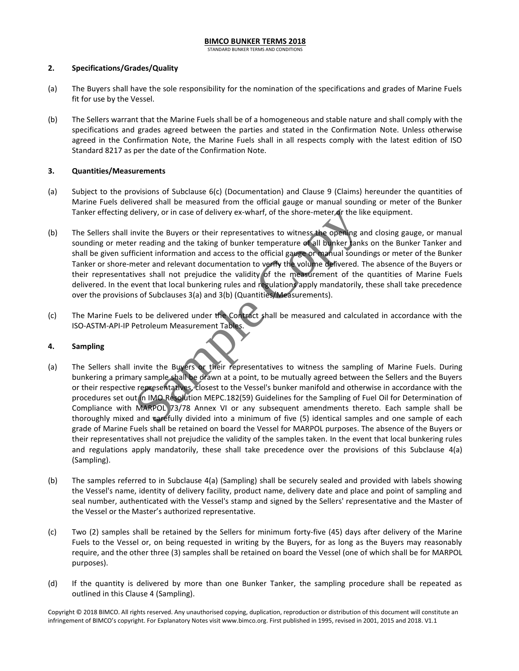STANDARD BUNKER TERMS AND CONDITIONS

## **2. Specifications /Grades/Quality**

- (a) The Buyers shall have the sole responsibility for the nomination of the specifications and grades of Marine Fuels fit for use by the Vessel.
- (b ) The Sellers warrant that the Marine Fuels shall be of a homogeneous and stable nature and shall comply with the specifications and grades agreed between the parties and stated in the Confirmation Note. Unless otherwise agreed in the Confirmation Note, the Marine Fuels shall in all respects comply with the latest edition of ISO Standard 8217 as per the date of the Confirmation Note.

## **3. Quantities/Measurements**

- (a) Subject to the provisions of Subclause 6(c) (Documentation) and Clause 9 (Claims) hereunder the quantities of Marine Fuels delivered shall be measured from the official gauge or manual sounding or meter of the Bunker Tanker effecting delivery, or in case of delivery ex -wharf, of the shore -meter or the like equipment .
- (b) The Sellers shall invite the Buyers or their representatives to witness the opening and closing gauge, or manual sounding or meter reading and the taking of bunker temperature of all bunker tanks on the Bunker Tanker and shall be given sufficient information and access to the official gauge or manual soundings or meter of the Bunker Tanker or shore-meter and relevant documentation to verify the volume delivered. The absence of the Buyers or their representatives shall not prejudice the validity of the measurement of the quantities of Marine Fuels delivered. In the event that local bunkering rules and regulations apply mandatorily, these shall take precedence over the provisions of Subclauses 3(a) and 3(b) (Quantities/Measurements).
- (c) The Marine Fuels to be delivered under the Contract shall be measured and calculated in accordance with the ISO -ASTM -API -IP Petroleum Measurement Tables.

## **4. Sampling**

- mate delivery, or in case of delivery ex-whart, of the shore-meter are the likely<br>all invite the Buyers or their representatives to witness the opening an<br>enter reading and the taking of bunker temperature of all bunker la (a) The Sellers shall invite the Buyers or their representatives to witness the sampling of Marine Fuels. During bunkering a primary sample shall be drawn at a point, to be mutually agreed between the Sellers and the Buyers or their respective representatives, closest to the Vessel's bunker manifold and otherwise in accordance with the procedures set out in IMO Resolution MEPC.182(59) Guidelines for the Sampling of Fuel Oil for Determination of Compliance with MARPOL 73/78 Annex VI or any subsequent amendments thereto. Each sample shall be thoroughly mixed and carefully divided into a minimum of five ( 5) identical samples and one sample of each grade of Marine Fuels shall be retained on board the Vessel for MARPOL purposes. The absence of the Buyers or their representatives shall not prejudice the validity of the samples taken. In the event that local bunkering rules and regulations apply mandatorily, these shall take precedence over the provisions of this Subclause 4(a) (Sampling ) .
- ( b ) The samples referred to in Subclause 4(a) (Sampling) shall be securely sealed and provided with labels showing the Vessel's name, identity of delivery facility, product name, delivery date and place and point of sampling and seal number, authenticated with the Vessel's stamp and signed by the Sellers' representative and the Master of the Vessel or the Master's authorized representative.
- ( c ) Two (2) samples shall be retained by the Sellers for minimum forty -five (45) days after delivery of the Marine Fuels to the Vessel or, on being requested in writing by the Buyers, for as long as the Buyers may reasonably require, and the other three ( 3) samples shall be retained on board the Vessel (one of which shall be for MARPOL purposes) .
- ( d ) If the quantity is delivered by more than one Bunker Tanker, the sampling procedure shall be repeated as outlined in this Clause 4 (Sampling) .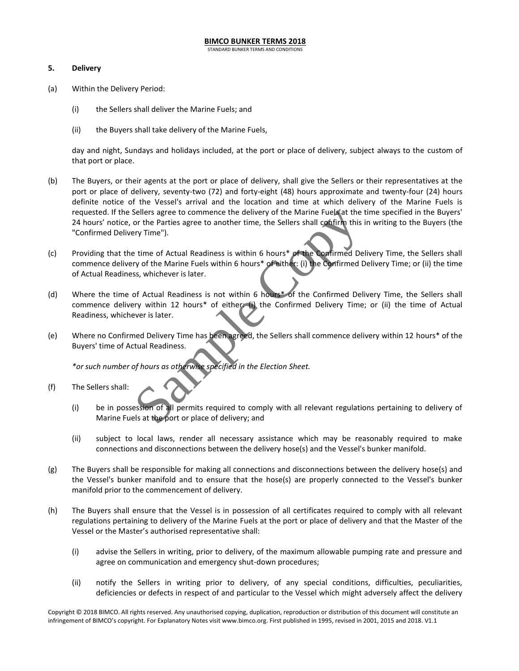#### **5. Delivery**

- (a) Within the Delivery Period :
	- (i) the Sellers shall deliver the Marine Fuels; and
	- (ii) the Buyers shall take delivery of the Marine Fuels,

day and night, Sundays and holidays included, at the port or place of delivery, subject always to the custom of that port or place .

- (b) The Buyers, or their agents at the port or place of delivery, shall give the Sellers or their representatives at the port or place of delivery, seventy-two (72) and forty-eight (48) hours approximate and twenty-four (24) hours definite notice of the Vessel's arrival and the location and time at which deliver y of the Marine Fuels is requested. If the Sellers agree to commence the delivery of the Marine Fuels at the time specified in the Buyers' 24 hours' notice, or the Parties agree to another time, the Sellers shall confirm this in writing to the Buyers (the "Confirmed Delivery Time").
- the Sellers agree to commence the delivery of the Marine Fuelsiat the ties, or the Parities agree to another time, the Sellers shall confirm this is elivery Time").<br>
the time of Actual Readiness is within 6 hours<sup>\*</sup> of the (c) Providing that the time of Actual Readiness is within 6 hours\* of the Confirmed Delivery Time, the Sellers shall commence delivery of the Marine Fuels within 6 hours\* of either: (i) the Confirmed Delivery Time; or (ii) the time of Actual Readiness, whichever is later .
- (d) Where the time of Actual Readiness is not within 6 hours \* of the Confirmed Delivery Time, the Sellers shall commence delivery within 12 hours \* of either: (i) the Confirmed Delivery Time; or (ii) the time of Actual Readiness, whichever is later .
- (e) Where no Confirmed Delivery Time has been agreed, the Sellers shall commence delivery within 12 hours \* of the Buyers' time of Actual Readiness.

*\*or such number of hours as otherwise specified in the Election Sheet.*

- ( f ) The Sellers shall:
	- (i) be in possession of all permits required to comply with all relevant regulations pertaining to delivery of Marine Fuels at the port or place of delivery; and
	- (ii) subject to local laws, render all necessary assistance which may be reasonably required to make connections and disconnections between the delivery hose(s) and the Vessel's bunker manifold.
- ( g ) The Buyers shall be responsible for making all connections and disconnections between the delivery hose(s) and the Vessel's bunker manifold and to ensure that the hose(s) are properly connected to the Vessel's bunker manifold prior to the commencement of delivery.
- ( h ) The Buyers shall ensure that the Vessel is in possession of all certificates required to comply with all relevant regulations pertaining to delivery of the Marine Fuels at the port or place of delivery and that the Master of the Vessel or the Master's authorised representative shall:
	- (i) advise the Sellers in writing, prior to delivery, of the maximum allowable pumping rate and pressure and agree on communication and emergency shut -down procedures;
	- (ii) notify the Sellers in writing prior to delivery, of any special conditions, difficulties, peculiarities, deficiencies or defects in respect of and particular to the Vessel which might adversely affect the delivery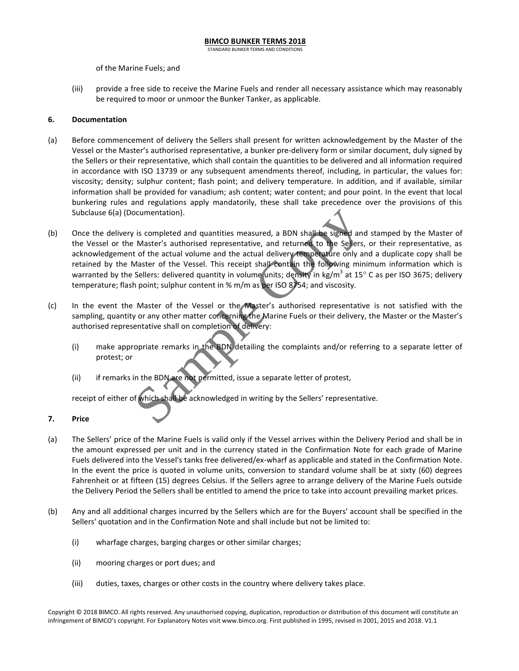of the Marine Fuels ; and

(iii) provide a free side to receive the Marine Fuels and render all necessary assistance which may reasonably be required to moor or unmoor the Bunker Tanker, as applicable.

#### **6. Documentation**

- (a) Before commencement of delivery the Sellers shall present for written acknowledgement by the Master of the Vessel or the Master's authorised representative, a bunker pre-delivery form or similar document, duly signed by the Sellers or their representative, which shall contain the quantities to be delivered and all information required in accordance with ISO 13739 or any subsequent amendments thereof, including, in particular, the values for: viscosity; density; sulphur content; flash point; and delivery temperature. In addition, and if available, similar information shall be provided for vanadium; ash content; water content; and pour point. In the event that local bunkering rules and regulations apply mandatorily, these shall take precedence over the provisions of this Subclause 6(a) (Documentation) .
- (Documentation).<br>
very is completed and quantities measured, a BDN shall be signed and<br>
the Master's authorised representative, and returned to the Selers,<br>
ment of the actual volume and the actual delivery temperature onl (b) Once the delivery is completed and quantities measured, a BDN shall be signed and stamped by the Master of the Vessel or the Master's authorised representative, and returned to the Sellers, or their representative, as acknowledgement of the actual volume and the actual delivery temperature only and a duplicate copy shall be retained by the Master of the Vessel. This receipt shall contain the following minimum information which is warranted by the Sellers: delivered quantity in volume units; density in kg/m<sup>3</sup> at 15° C as per ISO 3675; delivery temperature; flash point; sulphur content in % m/m as per ISO 8754; and viscosity .
- (c) In the event the Master of the Vessel or the Master's authorised representative is not satisfied with the sampling, quantity or any other matter concerning the Marine Fuels or their delivery, the Master or the Master's authorised representative shall on completion of delivery:
	- (i) make appropriate remarks in the BDN detailing the complaints and/or referring to a separate letter of protest; or
	- (ii) if remarks in the BDN are not permitted, issue a separate letter of protest,

receipt of either of which shall be acknowledged in writing by the Sellers' representative .

#### **7. Price**

- (a) The Sellers' price of the Marine Fuels is valid only if the Vessel arrives within the Delivery Period and shall be in the amount expressed per unit and in the currency stated in the Confirmation Note for each grade of Marine Fuels delivered into the Vessel's tanks free delivered/ex -wharf as applicable and stated in the Confirmation Note. In the event the price is quoted in volume units, conversion to standard volume shall be at sixty (60 ) degrees Fahrenheit or at fifteen (15) degrees Celsius. If the Sellers agree to arrange delivery of the Marine Fuels outside the Delivery Period the Sellers shall be entitled to amend the price to take into account prevailing market prices.
- (b) Any and all additional charges incurred by the Seller s which are for the Buyers' account shall be specified in the Sellers' quotation and in the Confirmation Note and shall include but not be limited to:
	- (i) w harfage charges, barging charges or other similar charges;
	- (ii) mooring charges or port dues ; and
	- (iii) duties, taxes, charges or other costs in the country where delivery takes place.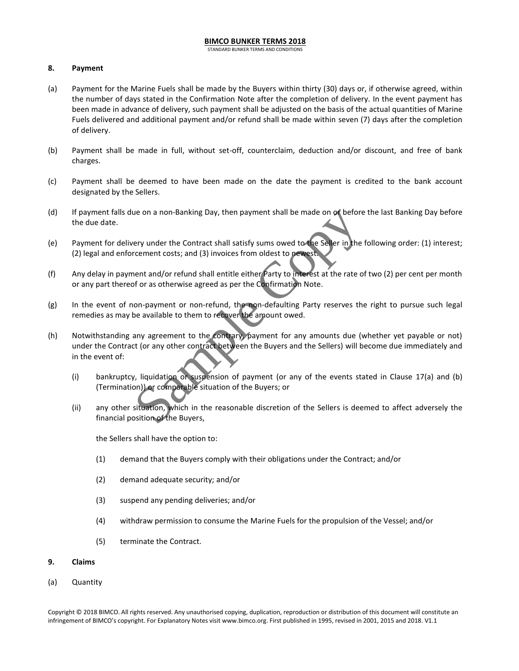STANDARD BUNKER TERMS AND CONDITIONS

#### **8. Payment**

- (a) Payment for the Marine Fuels shall be made by the Buyers within thirty (30) days or, if otherwise agreed, within the number of days stated in the Confirmation Note after the completion of delivery. In the event payment has been made in advance of delivery, such payment shall be adjusted on the basis of the actual quantities of Marine Fuels delivered and additional payment and/or refund shall be made within seven (7) days after the completion of delivery.
- (b) Payment shall be made in full, without set -off, counterclaim, deduction and/or discount, and free of bank charges.
- (c) Payment shall be deemed to have been made on the date the payment is credited to the bank account designated by the Sellers.
- (d) If payment falls due on a non-Banking Day, then payment shall be made on or before the last Banking Day before the due date.
- (e) Payment for delivery under th e Contract shall satisfy sums owed to the Seller in the following order: (1) interest; (2) legal and enforcement costs; and (3) invoices from oldest to newest.
- ( f ) Any delay in payment and/or refund shall entitle either Party to interest at the rate of two (2) per cent per month or any part thereof or as otherwise agreed as per the Confirmation Note .
- ( g ) In the event of non-payment or non-refund, the non-defaulting Party reserves the right to pursue such legal remedies as may be available to them to recover the amount owed.
- Is due on a non-Banking Day, then payment shall be made on or before<br>delivery under the Contract shall satisfy sums owed to the Seller in the<br>inforcement costs; and (3) invoices from oldest to pervest.<br>ayment and/or refund (h) Notwithstanding any agreement to the contrary, payment for any amounts due (whether yet payable or not) under th e Contract (or any other contract between the Buyers and the Sellers) will become due immediately and in the event of :
	- (i) bankruptcy, liquidation or suspension of payment (or any of the events stated in Clause 17(a) and (b) (Termination) ) or comparable situation of the Buyers; or
	- (ii ) any other situation, which in the reasonable discretion of the Sellers is deemed to affect adversely the financial position of the Buyers,

the Seller s shall have the option to :

- ( 1 ) demand that the Buyers comply with their obligations under th e Contract; and/or
- ( 2 ) demand adequate security; and/or
- $(3)$ ) suspend any pending deliveries; and/or
- $(4)$ ) withdraw permission to consume the Marine Fuels for the propulsion of the Vessel; and/or
- $(5)$ ) terminate th e Contract.

#### **9. Claims**

(a) Quantity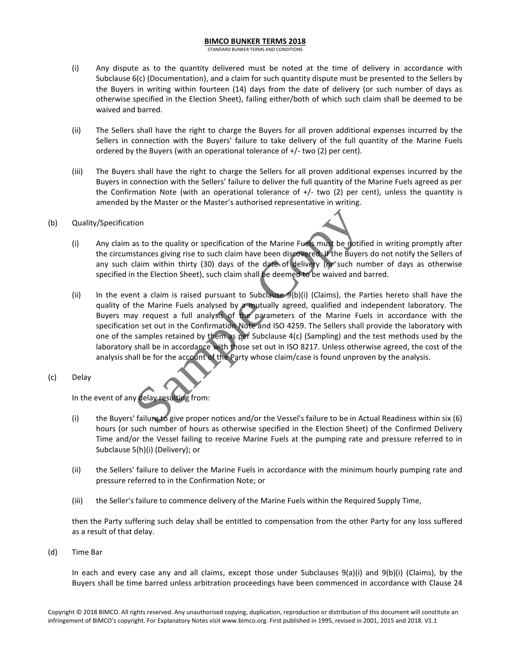#### **BIMCO BUNKER TERMS 201 8** STANDARD BUNKER TERMS AND CONDITIONS

- (i) Any dispute as to the quantity delivered must be noted at the time of delivery in accordance with Subclause 6(c) (Documentation), and a claim for such quantity dispute must be presented to the Sellers by the Buyers in writing within fourteen (14) days from the date of delivery (or such number of days as otherwise specified in the Election Sheet), failing either/both of which such claim shall be deemed to be waived and barred.
- (ii) The Sellers shall have the right to charge the Buyers for all proven additional expenses incurred by the Sellers in connection with the Buyers' failure to take delivery of the full quantity of the Marine Fuels ordered by the Buyers (with an operational tolerance of +/ - two (2) per cent ) .
- (iii) The Buyers shall have the right to charge the Sellers for all proven additional expenses incurred by the Buyers in connection with the Sellers' failure to deliver the full quantity of the Marine Fuels agreed as per the Confirmation Note (with an operational tolerance of +/ - two (2) per cent), unless the quantity is amended by the Master or the Master's authorised representative in writing .

## (b) Quality/Specification

- (i) Any claim as to the quality or specification of the Marine Fuels must be notified in writing promptly after the circumstances giving rise to such claim have been discovered. If the Buyers do not notify the Sellers of any such claim within thirty (30) days of the date of delivery (or such number of days as otherwise specified in the Election Sheet), such claim shall be deemed to be waived and barred.
- fication<br>
in as to the quality or specification of the Marine Fueld must be notificum<br>
stances giving rise to such claim have been discovered. If the Buyer<br>
ch claim within thirty (30) days of the date of delivery (c) such (ii) In the event a claim is raised pursuant to Subclause 9(b)(i) (Claims), the Parties hereto shall have the quality of the Marine Fuels analysed by a mutually agreed, qualified and independent laboratory. The Buyer s may request a full analysis of the parameters of the Marine Fuels in accordance with the specification set out in the Confirmation Note and ISO 4259. The Sellers shall provide the laboratory with one of the samples retained by them as per Subclause 4(c) (Sampling) and the test methods used by the laboratory shall be in accordance with those set out in ISO 8217. Unless otherwise agreed, the cost of the analysis shall be for the account of the Party whose claim/case is found unproven by the analysis.
- (c) Delay

In the event of any delay resulting from:

- (i ) the Buyers' failure to give proper notices and/or the Vessel's failure to be in Actual Readiness within six (6) hours (or such number of hours as otherwise specified in the Election Sheet) of the Confirmed Delivery Time and/or the Vessel failing to receive Marine Fuels at the pumping rate and pressure referred to in Subclause 5(h)(i) (Delivery); or
- (ii) the Sellers' failure to deliver the Marine Fuels in accordance with the minimum hourly pumping rate and pressure referred to in the Confirmation Note; or
- (iii) the Seller's failure to commence delivery of the Marine Fuels within the Required Supply Time ,

then the Party suffering such delay shall be entitled to compensation from the other Party for any los s suffered as a result of that delay.

( d ) Time Bar

> In each and every case any and all claims, except those under Subclauses 9(a)(i) and 9(b)(i) (Claims) , by the Buyer s shall be time barred unless arbitration proceedings have been commenced in accordance with Clause 2 4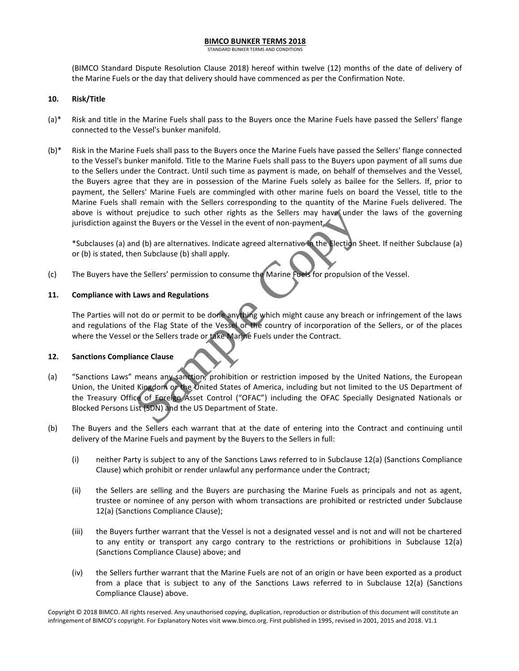STANDARD BUNKER TERMS AND CONDITIONS

(BIMCO Standard Dispute Resolution Clause 2018 ) hereof within twelve (12) months of the date of delivery of the Marine Fuels or the day that delivery should have commenced as per the Confirmation Note.

#### **10. Risk/Title**

- $(a)^*$ Risk and title in the Marine Fuels shall pass to the Buyers once the Marine Fuels have passed the Sellers' flange connected to the Vessel's bunker manifold.
- $(b)*$ Risk in the Marine Fuels shall pass to the Buyers once the Marine Fuels have passed the Sellers' flange connected to the Vessel's bunker manifold. Title to the Marine Fuels shall pass to the Buyers upon payment of all sums due to the Sellers under th e Contract. Until such time as payment is made, on behalf of themselves and the Vessel, the Buyers agree that they are in possession of the Marine Fuels solely as bailee for the Sellers. If, prior to payment, the Sellers' Marine Fuels are commingled with other marine fuels on board the Vessel, title to the Marine Fuels shall remain with the Sellers corresponding to the quantity of the Marine Fuels delivered. The above is without prejudice to such other rights as the Sellers may have under the laws of the governing jurisdiction against the Buyers or the Vessel in the event of non -payment.

\* Subclauses (a) and (b) are alternatives. Indicate agreed alternative in the Election Sheet. If neither Subclause (a) or (b) is stated , then Subclause (b) shall apply.

(c) The Buyers have the Sellers' permission to consume the Marine Fuels for propulsion of the Vessel .

## **11. Compliance with Laws and Regulations**

The Parties will not do or permit to be done anything which might cause any breach or infringement of the laws and regulations of the Flag State of the Vessel or the country of incorporation of the Sellers, or of the places where the Vessel or the Sellers trade or take Marine Fuels under the Contract.

## **12. Sanctions Compliance Clause**

- nout prejudice to such other rights as the Sellers may have under<br>
ainst the Buyers or the Vessel in the event of non-payment,<br>
a) and (b) are alternatives. Indicate agreed alternative in the Lection Sf<br>
1, then Subclause (a) "Sanctions Laws" means any sanction, prohibition or restriction imposed by the United Nations, the European Union, the United Kingdom or the United States of America, including but not limited to the US Department of the Treasury Office of Foreign Asset Control ("OFAC") including the OFAC Specially Designated Nationals or Blocked Persons List (SDN) and the US Department of State .
- (b) The Buyers and the Sellers each warrant that at the date of entering into th e Contract and continuing until delivery of the Marine Fuels and payment by the Buyers to the Sellers in full:
	- (i) neither Party is subject to any of the Sanctions Laws referred to in Subclause 12(a) (Sanctions Compliance Clause) which prohibit or render unlawful any performance under th e Contract;
	- (ii) the Sellers are selling and the Buyers are purchasing the Marine Fuels as principals and not as agent, trustee or nominee of any person with whom transactions are prohibited or restricted under Subclause 12(a) (Sanctions Compliance Clause) ;
	- (iii) the Buyers further warrant that the Vessel is not a designated vessel and is not and will not be chartered to any entity or transport any cargo contrary to the restrictions or prohibitions in Subclause 12(a) (Sanctions Compliance Clause) above ; and
	- (iv) the Sellers further warrant that the Marine Fuels are not of an origin or have been exported as a product from a place that is subject to any of the Sanctions Laws referred to in Subclause 12(a) (Sanctions Compliance Clause) above.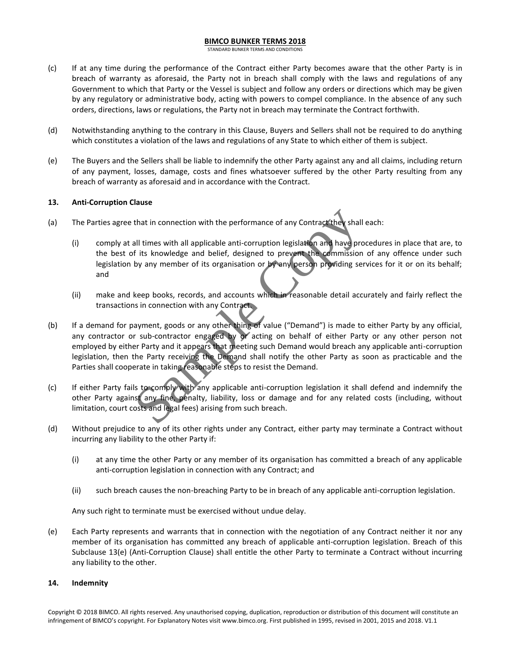STANDARD BUNKER TERMS AND CONDITIONS

- (c) If at any time during the performance of th e Contract either Party becomes aware that the other Party is in breach of warranty as aforesaid, the Party not in breach shall comply with the laws and regulations of any Government to which that Party or the Vessel is subject and follow any orders or directions which may be given by any regulatory or administrative body, acting with powers to compel compliance. In the absence of any such orders, directions, laws or regulations, the Party not in breach may terminate the Contract forthwith.
- (d) Notwithstanding anything to the contrary in this Clause, Buyers and Sellers shall not be required to do anything which constitutes a violation of the laws and regulations of any State to which either of them is subject.
- (e) The Buyers and the Sellers shall be liable to indemnify the other Party against any and all claims, including return of any payment, losses, damage, costs and fines whatsoever suffered by the other Party resulting from any breach of warranty as aforesaid and in accordance with th e Contract.

## **13. Anti -Corruption Clause**

- (a) The Parties agree that in connection with the performance of any Contract they shall each:
	- (i) comply at all times with all applicable anti -corruption legislation and have procedures in place that are, to the best of its knowledge and belief, designed to prevent the commission of any offence under such legislation by any member of its organisation or by any person providing services for it or on its behalf; and
	- (ii) make and keep books, records, and accounts which in reasonable detail accurately and fairly reflect the transactions in connection with any Contract.
- ree that in connection with the performance of any Contract the exhall<br>a call times with all applicable anti-corruption legislation and have pro-<br>sto of its knowledge and belief, designed to prevent the commission<br>ion by a (b) If a demand for payment, goods or any other thing of value ("Demand") is made to either Party by any official, any contractor or sub-contractor engaged by or acting on behalf of either Party or any other person not employed by either Party and it appears that meeting such Demand would breach any applicable anti -corruption legislation, then the Party receiving the Demand shall notify the other Party as soon as practicable and the Parties shall cooperate in taking reasonable steps to resist the Demand.
- (c) If either Party fails to comply with any applicable anti -corruption legislation it shall defend and indemnify the other Party against any fine, penalty, liability, loss or damage and for any related costs (including, without limitation, court costs and legal fees) arising from such breach.
- (d) Without prejudice to any of its other rights under any Contract, either party may terminate a Contract without incurring any liability to the other Party if:
	- ( i ) at any time the other Party or any member of its organisation has committed a breach of any applicable anti -corruption legislation in connection with any Contract; and
	- (ii ) such breach causes the non -breaching Party to be in breach of any applicable anti -corruption legislation.

Any such right to terminate must be exercised without undue delay.

(e) Each Party represents and warrants that in connection with the negotiation of any Contract neither it nor any member of its organisation has committed any breach of applicable anti -corruption legislation. Breach of this Subclause 13(e) (Anti-Corruption Clause) shall entitle the other Party to terminate a Contract without incurring any liability to the other.

#### **1 4 . Indemnity**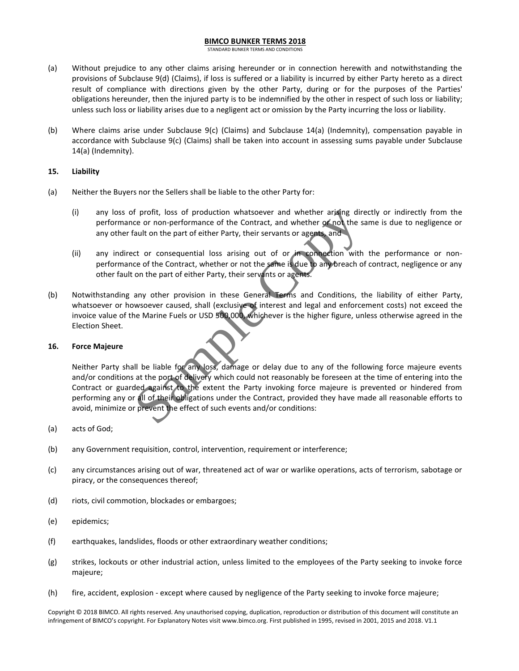STANDARD BUNKER TERMS AND CONDITIONS

- (a) Without prejudice to any other claims arising hereunder or in connection herewith and notwithstanding the provisions of Subclause 9(d) (Claims), if loss is suffered or a liability is incurred by either Party hereto as a direct result of compliance with directions given by the other Party, during or for the purposes of the Parties' obligations hereunder, then the injured party is to be indemnified by the other in respect of such loss or liability; unless such loss or liability arises due to a negligent act or omission by the Party incurring the loss or liability .
- (b) Where claims arise under Subclause 9(c) (Claims) and Subclause 1 4(a) (Indemnity), compensation payable in accordance with Subclause 9(c) (Claims) shall be taken into account in assessing sums payable under Subclause 1 4(a) (Indemnity) .

#### **1 5 . Liability**

- (a) Neither the Buyers nor the Sellers shall be liable to the other Party for:
	- (i) any loss of profit, loss of production whatsoever and whether arising directly or indirectly from the performance or non-performance of the Contract, and whether or not the same is due to negligence or any other fault on the part of either Party, their servants or agents, and
	- (ii) any indirect or consequential loss arising out of or in compection with the performance or nonperformance of the Contract, whether or not the same is due to any breach of contract, negligence or any other fault on the part of either Party, their servants or agents.
- (b) Notwithstanding any other provision in these General Terms and Conditions, the liability of either Party, whatsoever or howsoever caused, shall (exclusive of interest and legal and enforcement costs) not exceed the invoice value of the Marine Fuels or USD 500,000, whichever is the higher figure, unless otherwise agreed in the Election Sheet.

#### **1 6 . Force Majeure**

Sample of the Contract, and whether arising direct and when the contract and when the contract and when the contract and when the set and the contract of the contract, when even the same direct or consequential loss arisin Neither Party shall be liable for any loss, damage or delay due to any of the following force majeure events and/or conditions at the port of delivery which could not reasonably be foreseen at the time of entering into the Contract or guarded against/to the extent the Party invoking force majeure is prevented or hindered from performing any or all of their obligations under th e Contract, provided they have made all reasonable efforts to avoid, minimize or prevent the effect of such events and/or conditions:

- (a) acts of God;
- (b) any Government requisition, control, intervention, requirement or interference;
- (c) any circumstances arising out of war, threatened act of war or warlike operations, acts of terrorism, sabotage or piracy, or the consequences thereof;
- (d) riots, civil commotion, blockades or embargoes;
- (e) epidemics;
- (f) earthquakes, landslides, floods or other extraordinary weather conditions;
- (g) strikes, lockouts or other industrial action, unless limited to the employees of the Party seeking to invoke force majeure;
- (h) fire, accident, explosion except where caused by negligence of the Party seeking to invoke force majeure;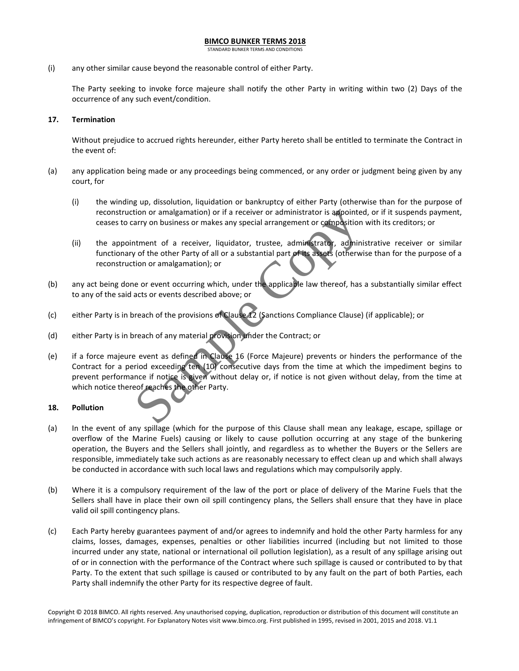STANDARD BUNKER TERMS AND CONDITIONS

(i) any other similar cause beyond the reasonable control of either Party.

The Party seeking to invoke force majeure shall notify the other Party in writing within two (2) Days of the occurrence of any such event/condition.

#### **1 7 . Termination**

Without prejudice to accrued rights hereunder, either Party hereto shall be entitled to terminate th e Contract in the event of:

- (a) any application being made or any proceedings being commenced, or any order or judgment being given by any court, for
	- (i) the winding up, dissolution, liquidation or bankruptcy of either Party (otherwise than for the purpose of reconstruction or amalgamation) or if a receiver or administrator is appointed, or if it suspends payment, ceases to carry on business or makes any special arrangement or composition with its creditors ; or
	- (ii) the appointment of a receiver, liquidator, trustee, administrator, administrative receiver or similar functionary of the other Party of all or a substantial part of its assets (otherwise than for the purpose of a reconstruction or amalgamation); or
- ( b any act being done or event occurring which, under the applicable law thereof, has a substantially similar effect to any of the said acts or events described above; or
- ( c either Party is in breach of the provisions of Clause 12 (Sanctions Compliance Clause) (if applicable); or
- (d) either Party is in breach of any material provision under th e Contract; or
- ( e ) if a force majeure event as defined in Clause 16 (Force Majeure) prevents or hinders the performance of the Contract for a period exceeding ten (10) consecutive days from the time at which the impediment begins to prevent performance if notice is given without delay or, if notice is not given without delay, from the time at which notice thereof reaches the other Party.

#### **1 8 . Pollution**

- truction or amalgamation) or it a receiver or administrator is appointed<br>to carry on business or makes any special arrangement or composition<br>pointment of a receiver, liquidator, trustee, administrator, administrator<br>speci (a) In the event of any spillage (which for the purpose of this Clause shall mean any leakage, escape, spillage or overflow of the Marine Fuels) causing or likely to cause pollution occurring at any stage of the bunkering operation, the Buyers and the Sellers shall jointly, and regardless as to whether the Buyers or the Sellers are responsible, immediately take such actions as are reasonably necessary to effect clean up and which shall always be conducted in accordance with such local laws and regulations which may compulsorily apply.
- (b) Where it is a compulsory requirement of the law of the port or place of delivery of the Marine Fuels that the Sellers shall have in place their own oil spill contingency plans, the Sellers shall ensure that they have in place valid oil spill contingency plans.
- (c) Each Party hereby guarantees payment of and/or agrees to indemnify and hold the other Party harmless for any claims, losses, damages, expenses, penalties or other liabilities incurred (including but not limited to those incurred under any state, national or international oil pollution legislation ), as a result of any spillage arising out of or in connection with the performance of th e Contract where such spillage is caused or contributed to by that Party . To the extent that such spillage is caused or contributed to by any fault on the part of both Parties, each Party shall indemnify the other Party for its respective degree of fault .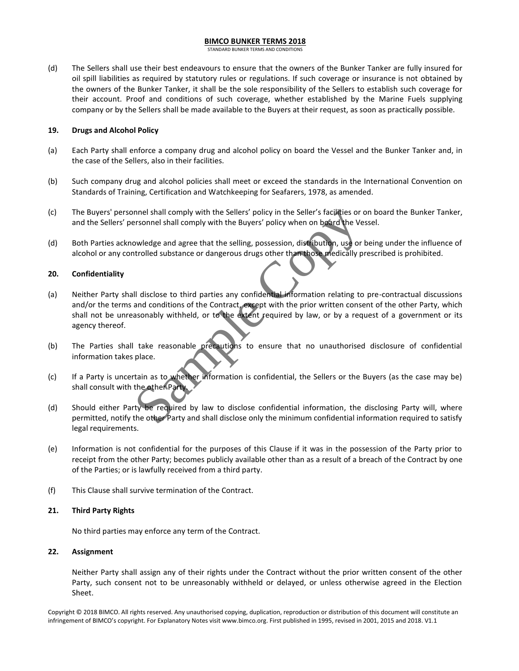STANDARD BUNKER TERMS AND CONDITIONS

(d) The Sellers shall use their best endeavours to ensure that the owners of the Bunker Tanker are fully insured for oil spill liabilities as required by statutory rules or regulations. If such coverage or insurance is not obtained by the owners of the Bunker Tanker, it shall be the sole responsibility of the Sellers to establish such coverage for their account. Proof and conditions of such coverage, whether established by the Marine Fuels supplying company or by the Sellers shall be made available to the Buyers at their request, as soon as practically possible.

#### **1 9 . Drug s and Alcohol Policy**

- (a) Each Party shall enforce a company drug and alcohol policy on board the Vessel and the Bunker Tanker and, in the case of the Sellers, also in their facilities.
- (b) Such company drug and alcohol policies shall meet or exceed the standards in the International Convention on Standards of Training, Certification and Watchkeeping for Seafarers, 1978, as amended .
- (c) The Buyers' personnel shall comply with the Sellers' policy in the Seller's facilities or on board the Bunker Tanker, and the Sellers ' personnel shall comply with the Buyers ' policy when on board the Vessel.
- (d) Both Parties acknowledge and agree that the selling, possession, distribution, use or being under the influence of alcohol or any controlled substance or dangerous drugs other than those medically prescribed is prohibited.

#### **20 . Confidentiality**

- ersonnel shall comply with the Sellers' policy in the Seller's facilities or o' personnel shall comply with the Buyers' policy when on board the Ve<br>
solicy of the Version of the Version of the Version of the Version of the (a) Neither Party shall disclose to third parties any confidential information relating to pre -contractual discussions and/or the terms and conditions of the Contract, except with the prior written consent of the other Party, which shall not be unreasonably withheld, or to the extent required by law, or by a request of a government or its agency thereof.
- (b) The Parties shall take reasonable precautions to ensure that no unauthorised disclosure of confidential information takes place.
- (c) If a Party is uncertain as to whether information is confidential, the Sellers or the Buyers (as the case may be) shall consult with the other Party.
- (d) Should either Party be required by law to disclose confidential information, the disclosing Party will, where permitted, notify the other Party and shall disclose only the minimum confidential information required to satisfy legal requirements.
- (e) Information is not confidential for the purposes of this Clause if it was in the possession of the Party prior to receipt from the other Party; becomes publicly available other than as a result of a breach of th e Contract by one of the Parties; or is lawfully received from a third party.
- (f) This Clause shall survive termination of th e Contract.

#### **21 . Third Party Rights**

No third parties may enforce any term of th e Contract.

#### **2 2 . Assignment**

Neither Party shall assign any of their rights under th e Contract without the prior written consent of the other Party, such consent not to be unreasonably withheld or delayed, or unless otherwise agreed in the Election Sheet .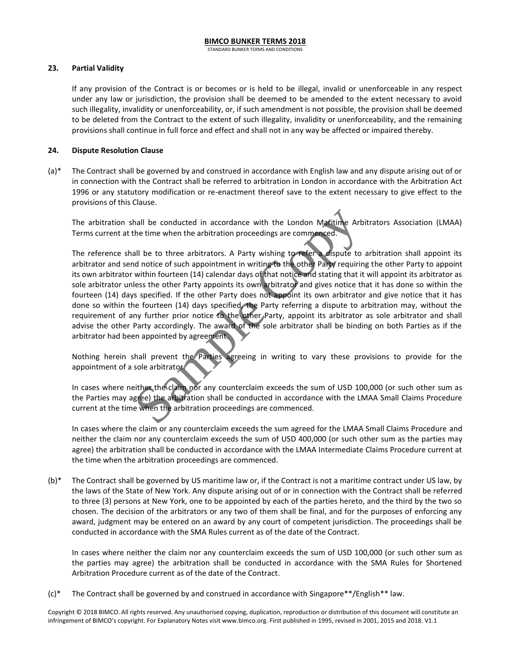STANDARD BUNKER TERMS AND CONDITIONS

#### **2 3 . Partial Validity**

If any provision of th e Contract is or becomes or is held to be illegal, invalid or unenforceable in any respect under any law or jurisdiction, the provision shall be deemed to be amended to the extent necessary to avoid such illegality, invalidity or unenforceability, or, if such amendment is not possible, the provision shall be deemed to be deleted from th e Contract to the extent of such illegality, invalidity or unenforceability, and the remaining provisions shall continue in full force and effect and shall not in any way be affected or impaired thereby.

#### **2 4 . Dispute Resolution Clause**

 $(a)^*$ \* Th e Contract shall be governed by and construed in accordance with English law and any dispute arising out of or in connection with the Contract shall be referred to arbitration in London in accordance with the Arbitration Act 1996 or any statutory modification or re-enactment thereof save to the extent necessary to give effect to the provisions of this Clause .

The arbitration shall be conducted in accordance with the London Maritime Arbitrators Association (LMAA) Terms current at the time when the arbitration proceedings are commenced.

on shall be conducted in accordance with the London Maritime Arb<br>at at the time when the arbitration proceedings are commenced.<br>
Shall be to three arbitrators. A Party wishing to **referend style units**<br>
shall be to three a The reference shall be to three arbitrators. A Party wishing to refer a dispute to arbitration shall appoint its arbitrator and send notice of such appointment in writing to the other Party requiring the other Party to appoint its own arbitrator within fourteen (14) calendar days of that notice and stating that it will appoint its arbitrator as sole arbitrator unless the other Party appoints its own arbitrator and gives notice that it has done so within the fourteen (14) days specified. If the other Party does not appoint its own arbitrator and give notice that it has done so within the fourteen (14) days specified, the Party referring a dispute to arbitration may, without the requirement of any further prior notice to the other Party, appoint its arbitrator as sole arbitrator and shall advise the other Party accordingly. The award of the sole arbitrator shall be binding on both Parties as if the arbitrator had been appointed by agreement.

Nothing herein shall prevent the Parties agreeing in writing to vary these provisions to provide for the appointment of a sole arbitrator.

In cases where neither the claim nor any counterclaim exceeds the sum of US D 100,000 (or such other sum as the Parties may agree) the arbitration shall be conducted in accordance with the LMAA Small Claims Procedure current at the time when the arbitration proceedings are commenced.

In cases where the claim or any counterclaim exceeds the sum agreed for the LMAA Small Claims Procedure and neither the claim nor any counterclaim exceeds the sum of USD 400,000 (or such other sum as the parties may agree) the arbitration shall be conducted in accordance with the LMAA Intermediate Claims Procedure current at the time when the arbitration proceedings are commenced.

 $(b)*$ \* Th e Contract shall be governed by US maritime law or, if the Contract is not a maritime contract under US law, by the laws of the State of New York. Any dispute arising out of or in connection with the Contract shall be referred to three (3) persons at New York, one to be appointed by each of the parties hereto, and the third by the two so chosen. The decision of the arbitrators or any two of them shall be final, and for the purposes of enforcing any award, judgment may be entered on an award by any court of competent jurisdiction. The proceedings shall be conducted in accordance with the SMA Rules current as of the date of the Contract.

In cases where neither the claim nor any counterclaim exceeds the sum of USD 100,000 (or such other sum as the parties may agree) the arbitration shall be conducted in accordance with the SMA Rules for Shortened Arbitration Procedure current as of the date of the Contract .

 $(c)$ \* The Contract shall be governed by and construed in accordance with Singapore\*\*/English\*\* law.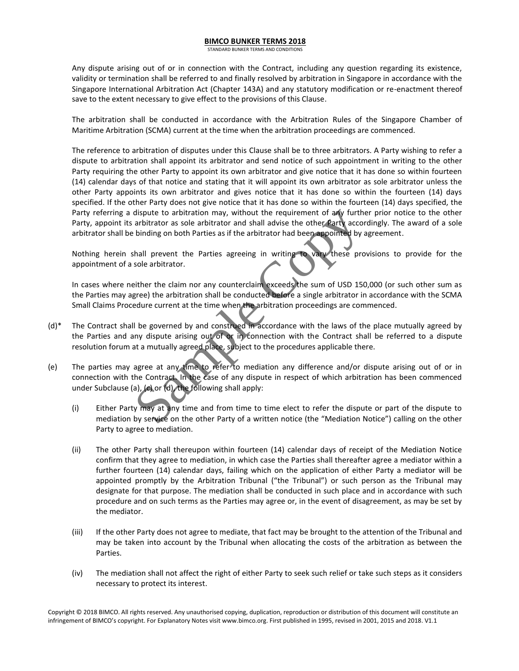STANDARD BUNKER TERMS AND CONDITIONS

Any dispute arising out of or in connection with the Contract, including any question regarding its existence, validity or termination shall be referred to and finally resolved by arbitration in Singapore in accordance with the<br>Singapore International Arbitration Act (Chapter 143A) and any statutory modification or re-enactment the save to the extent necessary to give effect to the provisions of this Clause .

The arbitration shall be conducted in accordance with the Arbitration Rules of the Singapore Chamber of Maritime Arbitration (SCMA) current at the time when the arbitration proceedings are commenced.

The reference to arbitration of disputes under this Clause shall be to three arbitrators. A Party wishing to refer a dispute to arbitration shall appoint its arbitrator and send notice of such appointment in writing to the other Party requiring the other Party to appoint its own arbitrator and give notice that it has done so within fourteen (14) calendar days of that notice and stating that it will appoint its own arbitrator as sole arbitrator unless the other Party appoints its own arbitrator and gives notice that it has done so within the fourteen (14) days specified. If the other Party does not give notice that it has done so within the fourteen (14) days specified, the Party referring a dispute to arbitration may, without the requirement of any further prior notice to the other Party, appoint its arbitrator as sole arbitrator and shall advise the other Party accordingly. The award of a sole arbitrator shall be binding on both Parties as if the arbitrator had been appointed by agreement.

Nothing herein shall prevent the Parties agreeing in writing to vary these provisions to provide for the appointment of a sole arbitrator.

g a dispute to arbitration may, without the requirement of any furth<br>t its arbitrator as sole arbitrator and shall advise the other flarty accounts<br>the binding on both Parties as if the arbitrator had been appointed by<br>in In cases where neither the claim nor any counterclaim exceeds the sum of USD 150,000 (or such other sum as the Parties may agree) the arbitration shall be conducted before a single arbitrator in accordance with the SCMA Small Claims Procedure current at the time when the arbitration proceedings are commenced .

- $(d)^*$ The Contract shall be governed by and construed in accordance with the laws of the place mutually agreed by the Parties and any dispute arising out of or in connection with the Contract shall be referred to a dispute resolution forum at a mutually agreed place, subject to the procedures applicable there.
- (e) The parties may agree at any time to refer to mediation any difference and/or dispute arising out of or in connection with the Contract. In the case of any dispute in respect of which arbitration has been commenced under Subclause (a), (c) or (d), the following shall apply:
	- (i) Either Party may at any time and from time to time elect to refer the dispute or part of the dispute to mediation by service on the other Party of a written notice (the "Mediation Notice") calling on the other Party to agree to mediation.
	- (ii) The other Party shall thereupon within fourteen (14) calendar days of receipt of the Mediation Notice confirm that they agree to mediation, in which case the Parties shall thereafter agree a mediator within a further fourteen (14) calendar days, failing which on the application of either Party a mediator will be appointed promptly by the Arbitration Tribunal ("the Tribunal") or such person as the Tribunal may designate for that purpose. The mediation shall be conducted in such place and in accordance with such procedure and on such terms as the Parties may agree or, in the event of disagreement, as may be set by the mediator .
	- (iii) If the other Party does not agree to mediate, that fact may be brought to the attention of the Tribunal and may be taken into account by the Tribunal when allocating the costs of the arbitration as between the Parties.
	- (iv) The mediation shall not affect the right of either Party to seek such relief or take such steps as it considers necessary to protect its interest.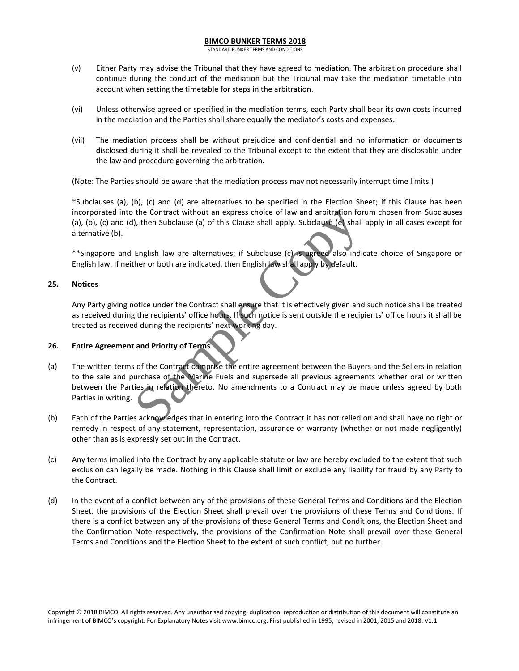- STANDARD BUNKER TERMS AND CONDITIONS
- (v) Either Party may advise the Tribunal that they have agreed to mediation. The arbitration procedure shall continue during the conduct of the mediation but the Tribunal may take the mediation timetable into account when setting the timetable for steps in the arbitration.
- (vi) Unless otherwise agreed or specified in the mediation terms, each Party shall bear its own costs incurred in the mediation and the Parties shall share equally the mediator's costs and expenses .
- (vii) The mediation process shall be without prejudice and confidential and no information or documents disclosed during it shall be revealed to the Tribunal except to the extent that they are disclosable under the law and procedure governing the arbitration.

(Note: The Parties should be aware that the mediation process may not necessarily interrupt time limits.)

\*Subclauses (a), (b), (c) and (d) are alternatives to be specified in the Election Sheet; if this Clause has been incorporated into the Contract without an express choice of law and arbitration forum chosen from Subclauses (a), (b), (c) and (d), then Subclause (a) of this Clause shall apply. Subclause (e) shall apply in all cases except for alternative (b).

\*\*Singapore and English law are alternatives; if Subclause (c) is agreed also indicate choice of Singapore or English law. If neither or both are indicated, then English law shall apply by default.

#### **2 5 . Notices**

Any Party giving notice under th e Contract shall ensure that it is effectively given and such notice shall be treated as received during the recipients' office hours. If such notice is sent outside the recipients' office hours it shall be treated as received during the recipients' next working day.

#### **2 6 . Entire Agreement and Priority of Terms**

- into the Contract without an express choice of law and arbitration for d (d), then Subclause (a) of this Clause shall apply. Subclause (e) shall<br>
and English law are alternatives; if Subclause (c) is agreed also indic<br>
nei (a) The written terms of the Contract comprise the entire agreement between the Buyers and the Sellers in relation to the sale and purchase of the Marine Fuels and supersede all previous agreements whether oral or written between the Parties in relation thereto. No amendments to a Contract may be made unless agreed by both Parties in writing.
- (b) Each of the Parties acknowledges that in entering into th e Contract it has not relied on and shall have no right or remedy in respect of any statement, representation, assurance or warranty (whether or not made negligently) other than as is expressly set out in th e Contract .
- (c) Any terms implied into th e Contract by any applicable statute or law are hereby excluded to the extent that such exclusion can legally be made. Nothing in this Clause shall limit or exclude any liability for fraud by any Party to the Contract.
- (d) In the event of a conflict between any of the provisions of these General Terms and Conditions and the Election Sheet, the provisions of the Election Sheet shall prevail over the provisions of these Terms and Conditions. If there is a conflict between any of the provisions of these General Terms and Conditions, the Election Sheet and the Confirmation Note respectively, the provisions of the Confirmation Note shall prevail over these General Terms and Conditions and the Election Sheet to the extent of such conflict, but no further .